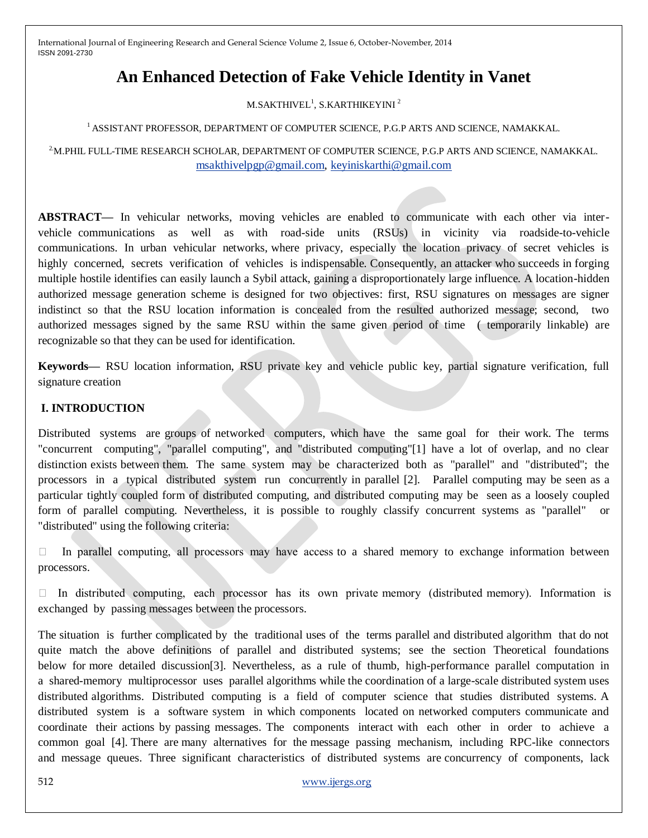# **An Enhanced Detection of Fake Vehicle Identity in Vanet**

M.SAKTHIVEL $^{\rm l}$ , S.KARTHIKEYINI  $^{\rm 2}$ 

#### <sup>1</sup> ASSISTANT PROFESSOR, DEPARTMENT OF COMPUTER SCIENCE, P.G.P ARTS AND SCIENCE, NAMAKKAL.

#### 2.M.PHIL FULL-TIME RESEARCH SCHOLAR, DEPARTMENT OF COMPUTER SCIENCE, P.G.P ARTS AND SCIENCE, NAMAKKAL. [msakthivelpgp@gmail.com,](mailto:msakthivelpgp@gmail.com) [keyiniskarthi@gmail.com](mailto:keyiniskarthi@gmail.com)

**ABSTRACT—** In vehicular networks, moving vehicles are enabled to communicate with each other via intervehicle communications as well as with road-side units (RSUs) in vicinity via roadside-to-vehicle communications. In urban vehicular networks, where privacy, especially the location privacy of secret vehicles is highly concerned, secrets verification of vehicles is indispensable. Consequently, an attacker who succeeds in forging multiple hostile identifies can easily launch a Sybil attack, gaining a disproportionately large influence. A location-hidden authorized message generation scheme is designed for two objectives: first, RSU signatures on messages are signer indistinct so that the RSU location information is concealed from the resulted authorized message; second, two authorized messages signed by the same RSU within the same given period of time ( temporarily linkable) are recognizable so that they can be used for identification.

**Keywords—** RSU location information, RSU private key and vehicle public key, partial signature verification, full signature creation

## **I. INTRODUCTION**

Distributed systems are groups of networked computers, which have the same goal for their work. The terms "concurrent computing", "parallel computing", and "distributed computing"[1] have a lot of overlap, and no clear distinction exists between them. The same system may be characterized both as "parallel" and "distributed"; the processors in a typical distributed system run concurrently in parallel [2]. Parallel computing may be seen as a particular tightly coupled form of distributed computing, and distributed computing may be seen as a loosely coupled form of parallel computing. Nevertheless, it is possible to roughly classify concurrent systems as "parallel" or "distributed" using the following criteria:

 $\Box$  In parallel computing, all processors may have access to a shared memory to exchange information between processors.

 In distributed computing, each processor has its own private memory (distributed memory). Information is exchanged by passing messages between the processors.

The situation is further complicated by the traditional uses of the terms parallel and distributed algorithm that do not quite match the above definitions of parallel and distributed systems; see the section Theoretical foundations below for more detailed discussion[3]. Nevertheless, as a rule of thumb, high-performance parallel computation in a shared-memory multiprocessor uses parallel algorithms while the coordination of a large-scale distributed system uses distributed algorithms. Distributed computing is a field of computer science that studies distributed systems. A distributed system is a software system in which components located on networked computers communicate and coordinate their actions by passing messages. The components interact with each other in order to achieve a common goal [4]. There are many alternatives for the message passing mechanism, including RPC-like connectors and message queues. Three significant characteristics of distributed systems are concurrency of components, lack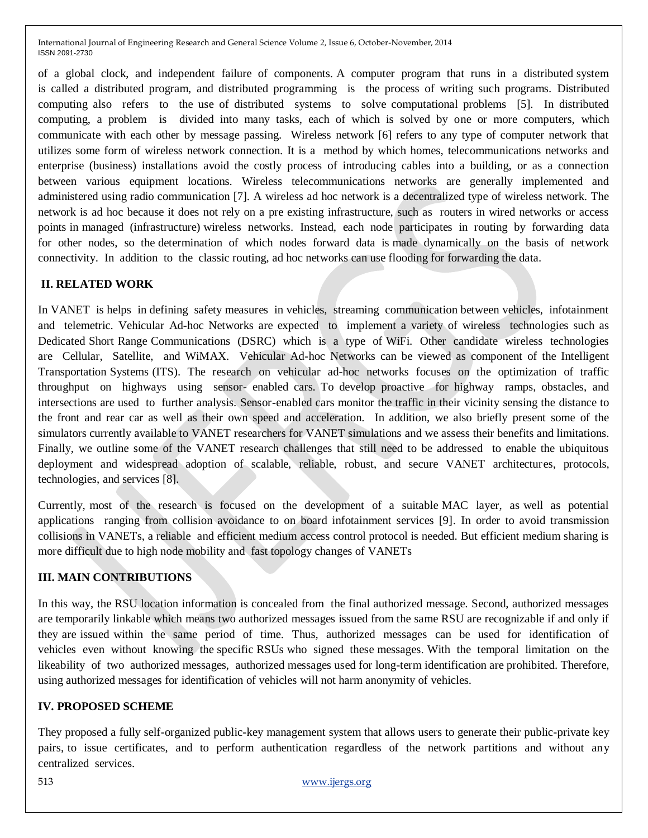of a global clock, and independent failure of components. A computer program that runs in a distributed system is called a distributed program, and distributed programming is the process of writing such programs. Distributed computing also refers to the use of distributed systems to solve computational problems [5]. In distributed computing, a problem is divided into many tasks, each of which is solved by one or more computers, which communicate with each other by message passing. Wireless network [6] refers to any type of computer network that utilizes some form of wireless network connection. It is a method by which homes, telecommunications networks and enterprise (business) installations avoid the costly process of introducing cables into a building, or as a connection between various equipment locations. Wireless telecommunications networks are generally implemented and administered using radio communication [7]. A wireless ad hoc network is a decentralized type of wireless network. The network is ad hoc because it does not rely on a pre existing infrastructure, such as routers in wired networks or access points in managed (infrastructure) wireless networks. Instead, each node participates in routing by forwarding data for other nodes, so the determination of which nodes forward data is made dynamically on the basis of network connectivity. In addition to the classic routing, ad hoc networks can use flooding for forwarding the data.

## **II. RELATED WORK**

In VANET is helps in defining safety measures in vehicles, streaming communication between vehicles, infotainment and telemetric. Vehicular Ad-hoc Networks are expected to implement a variety of wireless technologies such as Dedicated Short Range Communications (DSRC) which is a type of WiFi. Other candidate wireless technologies are Cellular, Satellite, and WiMAX. Vehicular Ad-hoc Networks can be viewed as component of the Intelligent Transportation Systems (ITS). The research on vehicular ad-hoc networks focuses on the optimization of traffic throughput on highways using sensor- enabled cars. To develop proactive for highway ramps, obstacles, and intersections are used to further analysis. Sensor-enabled cars monitor the traffic in their vicinity sensing the distance to the front and rear car as well as their own speed and acceleration. In addition, we also briefly present some of the simulators currently available to VANET researchers for VANET simulations and we assess their benefits and limitations. Finally, we outline some of the VANET research challenges that still need to be addressed to enable the ubiquitous deployment and widespread adoption of scalable, reliable, robust, and secure VANET architectures, protocols, technologies, and services [8].

Currently, most of the research is focused on the development of a suitable MAC layer, as well as potential applications ranging from collision avoidance to on board infotainment services [9]. In order to avoid transmission collisions in VANETs, a reliable and efficient medium access control protocol is needed. But efficient medium sharing is more difficult due to high node mobility and fast topology changes of VANETs

## **III. MAIN CONTRIBUTIONS**

In this way, the RSU location information is concealed from the final authorized message. Second, authorized messages are temporarily linkable which means two authorized messages issued from the same RSU are recognizable if and only if they are issued within the same period of time. Thus, authorized messages can be used for identification of vehicles even without knowing the specific RSUs who signed these messages. With the temporal limitation on the likeability of two authorized messages, authorized messages used for long-term identification are prohibited. Therefore, using authorized messages for identification of vehicles will not harm anonymity of vehicles.

#### **IV. PROPOSED SCHEME**

They proposed a fully self-organized public-key management system that allows users to generate their public-private key pairs, to issue certificates, and to perform authentication regardless of the network partitions and without any centralized services.

513 [www.ijergs.org](http://www.ijergs.org/)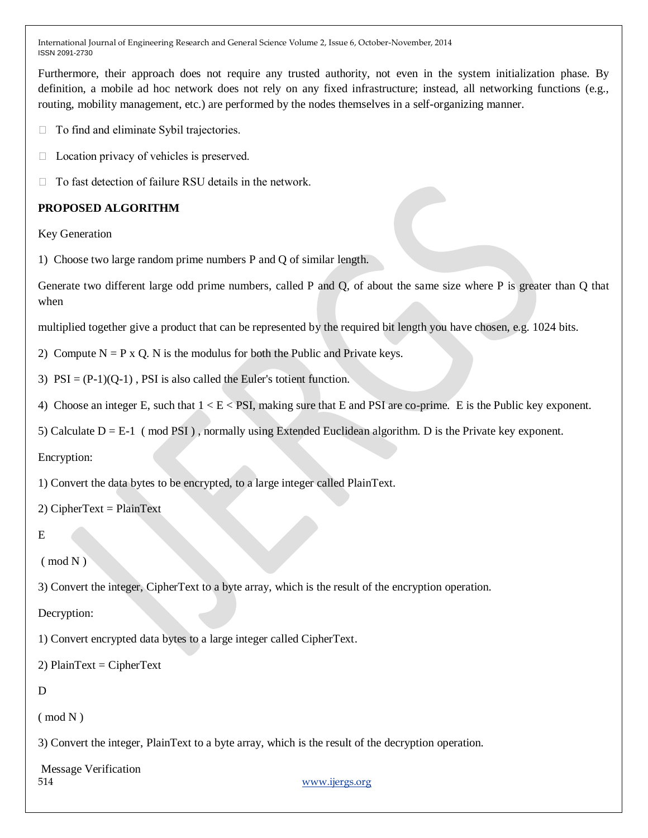Furthermore, their approach does not require any trusted authority, not even in the system initialization phase. By definition, a mobile ad hoc network does not rely on any fixed infrastructure; instead, all networking functions (e.g., routing, mobility management, etc.) are performed by the nodes themselves in a self-organizing manner.

- $\Box$  To find and eliminate Sybil trajectories.
- $\Box$  Location privacy of vehicles is preserved.
- $\Box$  To fast detection of failure RSU details in the network.

## **PROPOSED ALGORITHM**

Key Generation

1) Choose two large random prime numbers P and Q of similar length.

Generate two different large odd prime numbers, called P and Q, of about the same size where P is greater than Q that when

multiplied together give a product that can be represented by the required bit length you have chosen, e.g. 1024 bits.

- 2) Compute  $N = P x Q$ . N is the modulus for both the Public and Private keys.
- 3)  $PSI = (P-1)(Q-1)$ ,  $PSI$  is also called the Euler's totient function.
- 4) Choose an integer E, such that  $1 < E < PSI$ , making sure that E and PSI are co-prime. E is the Public key exponent.
- 5) Calculate D = E-1 ( mod PSI ) , normally using Extended Euclidean algorithm. D is the Private key exponent.

Encryption:

1) Convert the data bytes to be encrypted, to a large integer called PlainText.

2) CipherText =  $PlainText$ 

E

 $\pmod{N}$ 

3) Convert the integer, CipherText to a byte array, which is the result of the encryption operation.

Decryption:

1) Convert encrypted data bytes to a large integer called CipherText.

2)  $PlainText = CipherText$ 

#### D

 $\pmod{N}$ 

3) Convert the integer, PlainText to a byte array, which is the result of the decryption operation.

514 [www.ijergs.org](http://www.ijergs.org/) Message Verification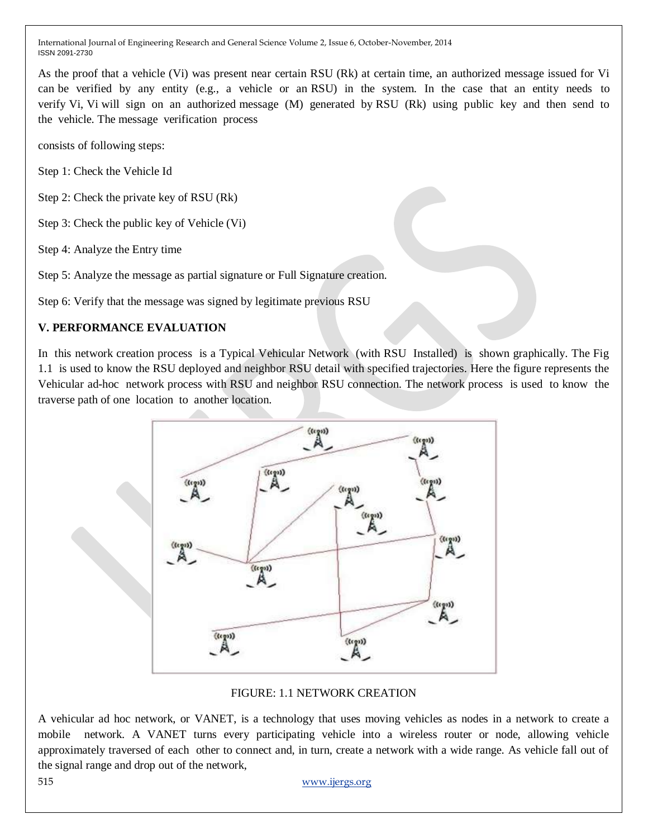As the proof that a vehicle (Vi) was present near certain RSU (Rk) at certain time, an authorized message issued for Vi can be verified by any entity (e.g., a vehicle or an RSU) in the system. In the case that an entity needs to verify Vi, Vi will sign on an authorized message (M) generated by RSU (Rk) using public key and then send to the vehicle. The message verification process

consists of following steps:

Step 1: Check the Vehicle Id

Step 2: Check the private key of RSU (Rk)

Step 3: Check the public key of Vehicle (Vi)

Step 4: Analyze the Entry time

Step 5: Analyze the message as partial signature or Full Signature creation.

Step 6: Verify that the message was signed by legitimate previous RSU

## **V. PERFORMANCE EVALUATION**

In this network creation process is a Typical Vehicular Network (with RSU Installed) is shown graphically. The Fig 1.1 is used to know the RSU deployed and neighbor RSU detail with specified trajectories. Here the figure represents the Vehicular ad-hoc network process with RSU and neighbor RSU connection. The network process is used to know the traverse path of one location to another location.



#### FIGURE: 1.1 NETWORK CREATION

A vehicular ad hoc network, or VANET, is a technology that uses moving vehicles as nodes in a network to create a mobile network. A VANET turns every participating vehicle into a wireless router or node, allowing vehicle approximately traversed of each other to connect and, in turn, create a network with a wide range. As vehicle fall out of the signal range and drop out of the network,

515 [www.ijergs.org](http://www.ijergs.org/)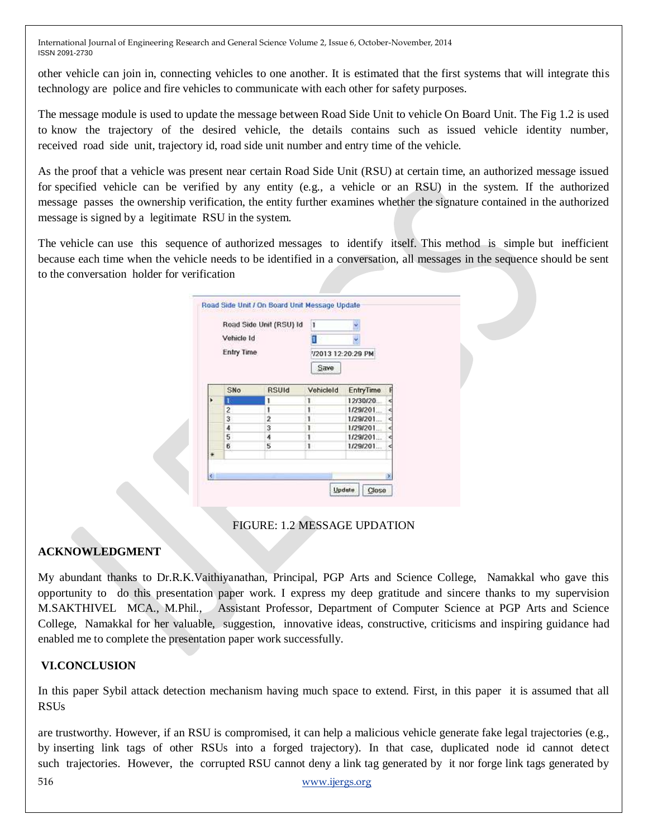other vehicle can join in, connecting vehicles to one another. It is estimated that the first systems that will integrate this technology are police and fire vehicles to communicate with each other for safety purposes.

The message module is used to update the message between Road Side Unit to vehicle On Board Unit. The Fig 1.2 is used to know the trajectory of the desired vehicle, the details contains such as issued vehicle identity number, received road side unit, trajectory id, road side unit number and entry time of the vehicle.

As the proof that a vehicle was present near certain Road Side Unit (RSU) at certain time, an authorized message issued for specified vehicle can be verified by any entity (e.g., a vehicle or an RSU) in the system. If the authorized message passes the ownership verification, the entity further examines whether the signature contained in the authorized message is signed by a legitimate RSU in the system.

The vehicle can use this sequence of authorized messages to identify itself. This method is simple but inefficient because each time when the vehicle needs to be identified in a conversation, all messages in the sequence should be sent to the conversation holder for verification

|              | Road Side Unit (RSU) Id<br>Vehicle Id<br>Entry Time |              | ı                         |           |    |
|--------------|-----------------------------------------------------|--------------|---------------------------|-----------|----|
|              |                                                     |              | 72013 12:20:29 PM<br>Save |           |    |
|              | SNo                                                 | <b>RSUId</b> | VehicleId                 | EntryTime |    |
| ٠            |                                                     |              | 1                         | 12/30/20. | ⊲  |
|              | 2                                                   |              |                           | 1/29/201  | c  |
|              | з                                                   | ž            |                           | 1/29/201  | c  |
|              | 4                                                   | 3            |                           | 1/29/201  | ⋖  |
|              | 5                                                   | 4            |                           | 1/29/201  | ×. |
|              | 6                                                   | 5            | 1                         | 1/29/201. | d  |
| ٠            |                                                     |              |                           |           |    |
| $\leftarrow$ |                                                     |              |                           |           |    |

FIGURE: 1.2 MESSAGE UPDATION

## **ACKNOWLEDGMENT**

My abundant thanks to Dr.R.K.Vaithiyanathan, Principal, PGP Arts and Science College, Namakkal who gave this opportunity to do this presentation paper work. I express my deep gratitude and sincere thanks to my supervision M.SAKTHIVEL MCA., M.Phil., Assistant Professor, Department of Computer Science at PGP Arts and Science College, Namakkal for her valuable, suggestion, innovative ideas, constructive, criticisms and inspiring guidance had enabled me to complete the presentation paper work successfully.

## **VI.CONCLUSION**

In this paper Sybil attack detection mechanism having much space to extend. First, in this paper it is assumed that all **RSUs** 

516 [www.ijergs.org](http://www.ijergs.org/) are trustworthy. However, if an RSU is compromised, it can help a malicious vehicle generate fake legal trajectories (e.g., by inserting link tags of other RSUs into a forged trajectory). In that case, duplicated node id cannot detect such trajectories. However, the corrupted RSU cannot deny a link tag generated by it nor forge link tags generated by